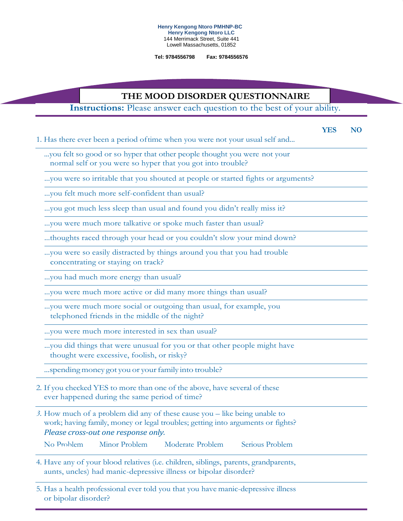## **Henry Kengong Ntoro PMHNP-BC Henry Kengong Ntoro LLC** 144 Merrimack Street, Suite 441 Lowell Massachusetts, 01852

**Tel: 9784556798 Fax: 9784556576**

 $\overline{\phantom{a}}$ 

|                                                                               | THE MOOD DISORDER QUESTIONNAIRE                                                                                                                                                                      |            |                |
|-------------------------------------------------------------------------------|------------------------------------------------------------------------------------------------------------------------------------------------------------------------------------------------------|------------|----------------|
| <b>Instructions:</b> Please answer each question to the best of your ability. |                                                                                                                                                                                                      |            |                |
|                                                                               |                                                                                                                                                                                                      | <b>YES</b> | N <sub>O</sub> |
| 1. Has there ever been a period of time when you were not your usual self and |                                                                                                                                                                                                      |            |                |
|                                                                               | you felt so good or so hyper that other people thought you were not your<br>normal self or you were so hyper that you got into trouble?                                                              |            |                |
|                                                                               | you were so irritable that you shouted at people or started fights or arguments?                                                                                                                     |            |                |
|                                                                               | you felt much more self-confident than usual?                                                                                                                                                        |            |                |
|                                                                               | you got much less sleep than usual and found you didn't really miss it?                                                                                                                              |            |                |
|                                                                               | you were much more talkative or spoke much faster than usual?                                                                                                                                        |            |                |
|                                                                               | thoughts raced through your head or you couldn't slow your mind down?                                                                                                                                |            |                |
|                                                                               | you were so easily distracted by things around you that you had trouble<br>concentrating or staying on track?                                                                                        |            |                |
|                                                                               | you had much more energy than usual?                                                                                                                                                                 |            |                |
|                                                                               | you were much more active or did many more things than usual?                                                                                                                                        |            |                |
|                                                                               | you were much more social or outgoing than usual, for example, you<br>telephoned friends in the middle of the night?                                                                                 |            |                |
|                                                                               | you were much more interested in sex than usual?                                                                                                                                                     |            |                |
|                                                                               | you did things that were unusual for you or that other people might have<br>thought were excessive, foolish, or risky?                                                                               |            |                |
|                                                                               | spending money got you or your family into trouble?                                                                                                                                                  |            |                |
|                                                                               | 2. If you checked YES to more than one of the above, have several of these<br>ever happened during the same period of time?                                                                          |            |                |
|                                                                               | 3. How much of a problem did any of these cause you – like being unable to<br>work; having family, money or legal troubles; getting into arguments or fights?<br>Please cross-out one response only. |            |                |
| No Problem                                                                    | Serious Problem<br>Minor Problem<br>Moderate Problem                                                                                                                                                 |            |                |
|                                                                               | 4. Have any of your blood relatives (i.e. children, siblings, parents, grandparents,<br>aunts, uncles) had manic-depressive illness or bipolar disorder?                                             |            |                |
| or bipolar disorder?                                                          | 5. Has a health professional ever told you that you have manic-depressive illness                                                                                                                    |            |                |